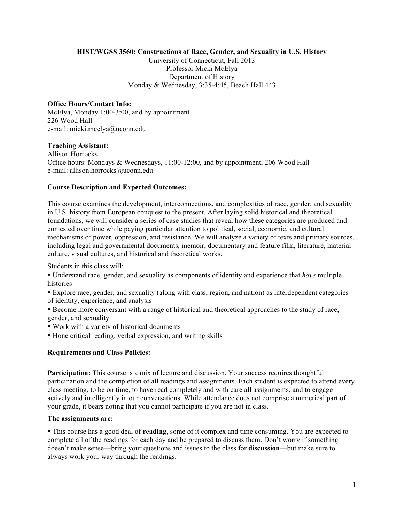# **HIST/WGSS 3560: Constructions of Race, Gender, and Sexuality in U.S. History**

University of Connecticut, Fall 2013 Professor Micki McElya Department of History Monday & Wednesday, 3:35-4:45, Beach Hall 443

# **Office Hours/Contact Info:**

McElya, Monday 1:00-3:00, and by appointment 226 Wood Hall e-mail: micki.mcelya@uconn.edu

### **Teaching Assistant:**

Allison Horrocks Office hours: Mondays & Wednesdays, 11:00-12:00, and by appointment, 206 Wood Hall e-mail: allison.horrocks@uconn.edu

# **Course Description and Expected Outcomes:**

This course examines the development, interconnections, and complexities of race, gender, and sexuality in U.S. history from European conquest to the present. After laying solid historical and theoretical foundations, we will consider a series of case studies that reveal how these categories are produced and contested over time while paying particular attention to political, social, economic, and cultural mechanisms of power, oppression, and resistance. We will analyze a variety of texts and primary sources, including legal and governmental documents, memoir, documentary and feature film, literature, material culture, visual cultures, and historical and theoretical works.

Students in this class will:

• Understand race, gender, and sexuality as components of identity and experience that *have* multiple histories

• Explore race, gender, and sexuality (along with class, region, and nation) as interdependent categories of identity, experience, and analysis

• Become more conversant with a range of historical and theoretical approaches to the study of race, gender, and sexuality

- Work with a variety of historical documents
- Hone critical reading, verbal expression, and writing skills

# **Requirements and Class Policies:**

**Participation:** This course is a mix of lecture and discussion. Your success requires thoughtful participation and the completion of all readings and assignments. Each student is expected to attend every class meeting, to be on time, to have read completely and with care all assignments, and to engage actively and intelligently in our conversations. While attendance does not comprise a numerical part of your grade, it bears noting that you cannot participate if you are not in class.

### **The assignments are:**

• This course has a good deal of **reading**, some of it complex and time consuming. You are expected to complete all of the readings for each day and be prepared to discuss them. Don't worry if something doesn't make sense—bring your questions and issues to the class for **discussion**—but make sure to always work your way through the readings.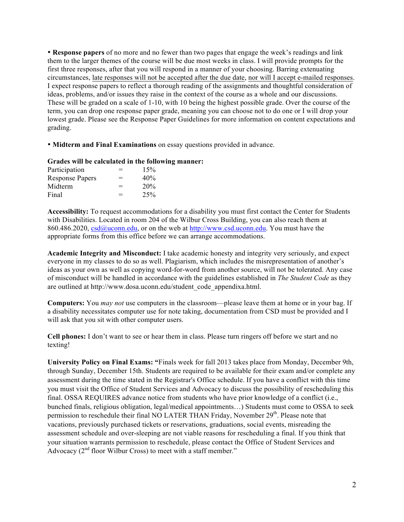• **Response papers** of no more and no fewer than two pages that engage the week's readings and link them to the larger themes of the course will be due most weeks in class. I will provide prompts for the first three responses, after that you will respond in a manner of your choosing. Barring extenuating circumstances, late responses will not be accepted after the due date, nor will I accept e-mailed responses. I expect response papers to reflect a thorough reading of the assignments and thoughtful consideration of ideas, problems, and/or issues they raise in the context of the course as a whole and our discussions. These will be graded on a scale of 1-10, with 10 being the highest possible grade. Over the course of the term, you can drop one response paper grade, meaning you can choose not to do one or I will drop your lowest grade. Please see the Response Paper Guidelines for more information on content expectations and grading.

• **Midterm and Final Examinations** on essay questions provided in advance.

# **Grades will be calculated in the following manner:**

| Participation          | $=$ | 15% |
|------------------------|-----|-----|
| <b>Response Papers</b> | $=$ | 40% |
| Midterm                | $=$ | 20% |
| Final                  | $=$ | 25% |

**Accessibility:** To request accommodations for a disability you must first contact the Center for Students with Disabilities. Located in room 204 of the Wilbur Cross Building, you can also reach them at 860.486.2020, csd@uconn.edu, or on the web at http://www.csd.uconn.edu. You must have the appropriate forms from this office before we can arrange accommodations.

**Academic Integrity and Misconduct:** I take academic honesty and integrity very seriously, and expect everyone in my classes to do so as well. Plagiarism, which includes the misrepresentation of another's ideas as your own as well as copying word-for-word from another source, will not be tolerated. Any case of misconduct will be handled in accordance with the guidelines established in *The Student Code* as they are outlined at http://www.dosa.uconn.edu/student\_code\_appendixa.html.

**Computers:** You *may not* use computers in the classroom—please leave them at home or in your bag. If a disability necessitates computer use for note taking, documentation from CSD must be provided and I will ask that you sit with other computer users.

**Cell phones:** I don't want to see or hear them in class. Please turn ringers off before we start and no texting!

**University Policy on Final Exams: "**Finals week for fall 2013 takes place from Monday, December 9th, through Sunday, December 15th. Students are required to be available for their exam and/or complete any assessment during the time stated in the Registrar's Office schedule. If you have a conflict with this time you must visit the Office of Student Services and Advocacy to discuss the possibility of rescheduling this final. OSSA REQUIRES advance notice from students who have prior knowledge of a conflict (i.e., bunched finals, religious obligation, legal/medical appointments…) Students must come to OSSA to seek permission to reschedule their final NO LATER THAN Friday, November 29<sup>th</sup>. Please note that vacations, previously purchased tickets or reservations, graduations, social events, misreading the assessment schedule and over-sleeping are not viable reasons for rescheduling a final. If you think that your situation warrants permission to reschedule, please contact the Office of Student Services and Advocacy  $(2<sup>nd</sup>$  floor Wilbur Cross) to meet with a staff member."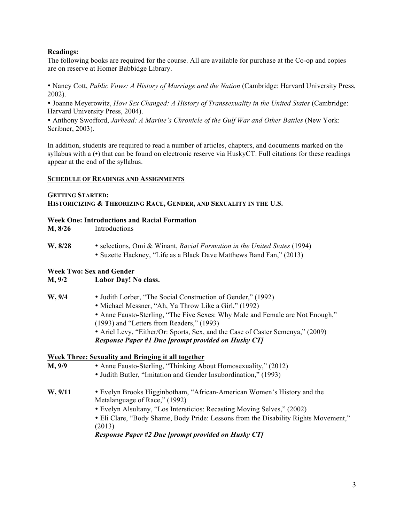# **Readings:**

The following books are required for the course. All are available for purchase at the Co-op and copies are on reserve at Homer Babbidge Library.

• Nancy Cott, *Public Vows: A History of Marriage and the Nation* (Cambridge: Harvard University Press, 2002).

• Joanne Meyerowitz, *How Sex Changed: A History of Transsexuality in the United States* (Cambridge: Harvard University Press, 2004).

• Anthony Swofford, *Jarhead: A Marine's Chronicle of the Gulf War and Other Battles* (New York: Scribner, 2003).

In addition, students are required to read a number of articles, chapters, and documents marked on the syllabus with a (**•**) that can be found on electronic reserve via HuskyCT. Full citations for these readings appear at the end of the syllabus.

# **SCHEDULE OF READINGS AND ASSIGNMENTS**

### **GETTING STARTED: HISTORICIZING & THEORIZING RACE, GENDER, AND SEXUALITY IN THE U.S.**

# **Week One: Introductions and Racial Formation**

**W, 8/28** • selections, Omi & Winant, *Racial Formation in the United States* (1994) • Suzette Hackney, "Life as a Black Dave Matthews Band Fan," (2013)

# **Week Two: Sex and Gender**

# **M, 9/2 Labor Day! No class.**

- **W, 9/4** Judith Lorber, "The Social Construction of Gender," (1992)
	- Michael Messner, "Ah, Ya Throw Like a Girl," (1992)
	- Anne Fausto-Sterling, "The Five Sexes: Why Male and Female are Not Enough," (1993) and "Letters from Readers," (1993)
	- Ariel Levy, "Either/Or: Sports, Sex, and the Case of Caster Semenya," (2009) *Response Paper #1 Due [prompt provided on Husky CT]*

# **Week Three: Sexuality and Bringing it all together**

**M, 9/9** • Anne Fausto-Sterling, "Thinking About Homosexuality," (2012) • Judith Butler, "Imitation and Gender Insubordination," (1993) **W, 9/11** • Evelyn Brooks Higginbotham, "African-American Women's History and the Metalanguage of Race," (1992) • Evelyn Alsultany, "Los Intersticios: Recasting Moving Selves," (2002) • Eli Clare, "Body Shame, Body Pride: Lessons from the Disability Rights Movement," (2013) *Response Paper #2 Due [prompt provided on Husky CT]*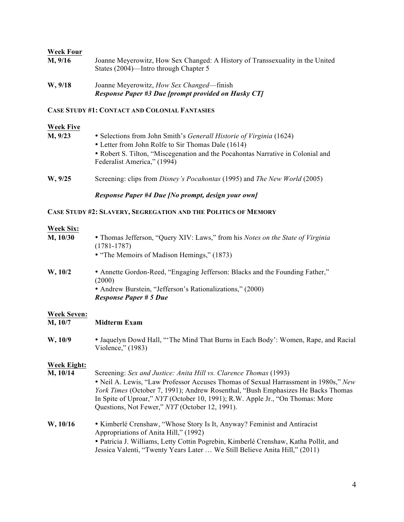# **Week Four**

| M, 9/16 | Joanne Meyerowitz, How Sex Changed: A History of Transsexuality in the United |
|---------|-------------------------------------------------------------------------------|
|         | States (2004)—Intro through Chapter 5                                         |

**W, 9/18** Joanne Meyerowitz, *How Sex Changed*—finish *Response Paper #3 Due [prompt provided on Husky CT]*

# **CASE STUDY #1: CONTACT AND COLONIAL FANTASIES**

### **Week Five**

| M, 9/23 | • Selections from John Smith's <i>Generall Historie of Virginia</i> (1624)      |
|---------|---------------------------------------------------------------------------------|
|         | • Letter from John Rolfe to Sir Thomas Dale (1614)                              |
|         | • Robert S. Tilton, "Miscegenation and the Pocahontas Narrative in Colonial and |
|         | Federalist America," (1994)                                                     |
|         |                                                                                 |

**W, 9/25** Screening: clips from *Disney's Pocahontas* (1995) and *The New World* (2005)

*Response Paper #4 Due [No prompt, design your own]*

# **CASE STUDY #2: SLAVERY, SEGREGATION AND THE POLITICS OF MEMORY**

# **Week Six:**

| M, 10/30                      | • Thomas Jefferson, "Query XIV: Laws," from his Notes on the State of Virginia<br>$(1781 - 1787)$<br>• "The Memoirs of Madison Hemings," (1873)                                      |
|-------------------------------|--------------------------------------------------------------------------------------------------------------------------------------------------------------------------------------|
| W, 10/2                       | • Annette Gordon-Reed, "Engaging Jefferson: Blacks and the Founding Father,"<br>(2000)<br>• Andrew Burstein, "Jefferson's Rationalizations," (2000)<br><b>Response Paper # 5 Due</b> |
| <b>Week Seven:</b><br>M, 10/7 | <b>Midterm Exam</b>                                                                                                                                                                  |
| W, 10/9                       | • Jaquelyn Dowd Hall, "The Mind That Burns in Each Body': Women, Rape, and Racial<br>Violence," (1983)                                                                               |

### **Week Eight:**

**M, 10/14** Screening: *Sex and Justice: Anita Hill vs. Clarence Thomas* (1993) • Neil A. Lewis, "Law Professor Accuses Thomas of Sexual Harrassment in 1980s," *New York Times* (October 7, 1991); Andrew Rosenthal, "Bush Emphasizes He Backs Thomas In Spite of Uproar," *NYT* (October 10, 1991); R.W. Apple Jr., "On Thomas: More Questions, Not Fewer," *NYT* (October 12, 1991). **W, 10/16** • Kimberlé Crenshaw, "Whose Story Is It, Anyway? Feminist and Antiracist

> Appropriations of Anita Hill," (1992) • Patricia J. Williams, Letty Cottin Pogrebin, Kimberlé Crenshaw, Katha Pollit, and Jessica Valenti, "Twenty Years Later … We Still Believe Anita Hill," (2011)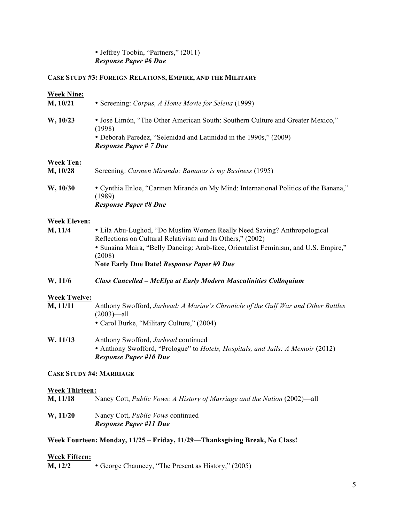# • Jeffrey Toobin, "Partners," (2011) *Response Paper #6 Due*

# **CASE STUDY #3: FOREIGN RELATIONS, EMPIRE, AND THE MILITARY**

| <b>Week Nine:</b><br>M, 10/21   | • Screening: Corpus, A Home Movie for Selena (1999)                                                                                                                                                                                                                                  |
|---------------------------------|--------------------------------------------------------------------------------------------------------------------------------------------------------------------------------------------------------------------------------------------------------------------------------------|
| W, 10/23                        | • José Limón, "The Other American South: Southern Culture and Greater Mexico,"<br>(1998)<br>• Deborah Paredez, "Selenidad and Latinidad in the 1990s," (2009)<br><b>Response Paper # 7 Due</b>                                                                                       |
| <b>Week Ten:</b><br>M, 10/28    | Screening: Carmen Miranda: Bananas is my Business (1995)                                                                                                                                                                                                                             |
| W, 10/30                        | • Cynthia Enloe, "Carmen Miranda on My Mind: International Politics of the Banana,"<br>(1989)<br><b>Response Paper #8 Due</b>                                                                                                                                                        |
| <b>Week Eleven:</b>             |                                                                                                                                                                                                                                                                                      |
| M, 11/4                         | • Lila Abu-Lughod, "Do Muslim Women Really Need Saving? Anthropological<br>Reflections on Cultural Relativism and Its Others," (2002)<br>• Sunaina Maira, "Belly Dancing: Arab-face, Orientalist Feminism, and U.S. Empire,"<br>(2008)<br>Note Early Due Date! Response Paper #9 Due |
| W, 11/6                         | <b>Class Cancelled - McElya at Early Modern Masculinities Colloquium</b>                                                                                                                                                                                                             |
| <b>Week Twelve:</b><br>M, 11/11 | Anthony Swofford, Jarhead: A Marine's Chronicle of the Gulf War and Other Battles<br>$(2003)$ —all<br>• Carol Burke, "Military Culture," (2004)                                                                                                                                      |
| W, 11/13                        | Anthony Swofford, Jarhead continued<br>• Anthony Swofford, "Prologue" to Hotels, Hospitals, and Jails: A Memoir (2012)<br><b>Response Paper #10 Due</b>                                                                                                                              |
| <b>CASE STUDY #4: MARRIAGE</b>  |                                                                                                                                                                                                                                                                                      |
| <b>Week Thirteen:</b>           |                                                                                                                                                                                                                                                                                      |
| M, 11/18                        | Nancy Cott, Public Vows: A History of Marriage and the Nation (2002)—all                                                                                                                                                                                                             |
| W, 11/20                        | Nancy Cott, Public Vows continued<br><b>Response Paper #11 Due</b>                                                                                                                                                                                                                   |
|                                 | Week Fourteen: Monday, 11/25 - Friday, 11/29—Thanksgiving Break, No Class!                                                                                                                                                                                                           |
| <b>Week Fifteen:</b><br>M, 12/2 | • George Chauncey, "The Present as History," (2005)                                                                                                                                                                                                                                  |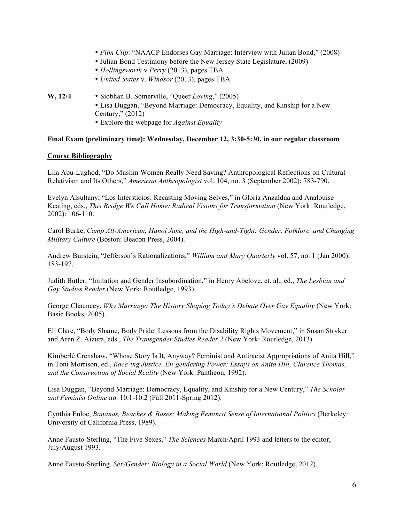- *Film Clip*: "NAACP Endorses Gay Marriage: Interview with Julian Bond," (2008)
- Julian Bond Testimony before the New Jersey State Legislature, (2009)
- *Hollingsworth* v *Perry* (2013), pages TBA
- *United States* v. *Windsor* (2013), pages TBA
- **W, 12/4** Siobhan B. Somerville, "Queer *Loving*," (2005)
	- Lisa Duggan, "Beyond Marriage: Democracy, Equality, and Kinship for a New Century," (2012)
	- Explore the webpage for *Against Equality*

# **Final Exam (preliminary time): Wednesday, December 12, 3:30-5:30, in our regular classroom**

# **Course Bibliography**

Lila Abu-Lughod, "Do Muslim Women Really Need Saving? Anthropological Reflections on Cultural Relativism and Its Others," *American Anthropologist* vol. 104, no. 3 (September 2002): 783-790.

Evelyn Alsultany, "Los Intersticios: Recasting Moving Selves," in Gloria Anzaldua and Analouise Keating, eds., *This Bridge We Call Home: Radical Visions for Transformation* (New York: Routledge, 2002): 106-110.

Carol Burke, *Camp All-American, Hanoi Jane, and the High-and-Tight: Gender, Folklore, and Changing Military Culture* (Boston: Beacon Press, 2004).

Andrew Burstein, "Jefferson's Rationalizations," *William and Mary Quarterly* vol. 57, no. 1 (Jan 2000): 183-197.

Judith Butler, "Imitation and Gender Insubordination," in Henry Abelove, et. al., ed., *The Lesbian and Gay Studies Reader* (New York: Routledge, 1993).

George Chauncey, *Why Marriage: The History Shaping Today's Debate Over Gay Equality* (New York: Basic Books, 2005).

Eli Clare, "Body Shame, Body Pride: Lessons from the Disability Rights Movement," in Susan Stryker and Aren Z. Aizura, eds., *The Transgender Studies Reader 2* (New York: Routledge, 2013).

Kimberlé Crenshaw, "Whose Story Is It, Anyway? Feminist and Antiracist Appropriations of Anita Hill," in Toni Morrison, ed., *Race-ing Justice, En-gendering Power: Essays on Anita Hill, Clarence Thomas, and the Construction of Social Reality* (New York: Pantheon, 1992).

Lisa Duggan, "Beyond Marriage: Democracy, Equality, and Kinship for a New Century," *The Scholar and Feminist Online* no. 10.1-10.2 (Fall 2011-Spring 2012).

Cynthia Enloe, *Bananas, Beaches & Bases: Making Feminist Sense of International Politics* (Berkeley: University of California Press, 1989).

Anne Fausto-Sterling, "The Five Sexes," *The Sciences* March/April 1993 and letters to the editor, July/August 1993.

Anne Fausto-Sterling, *Sex/Gender: Biology in a Social World* (New York: Routledge, 2012).